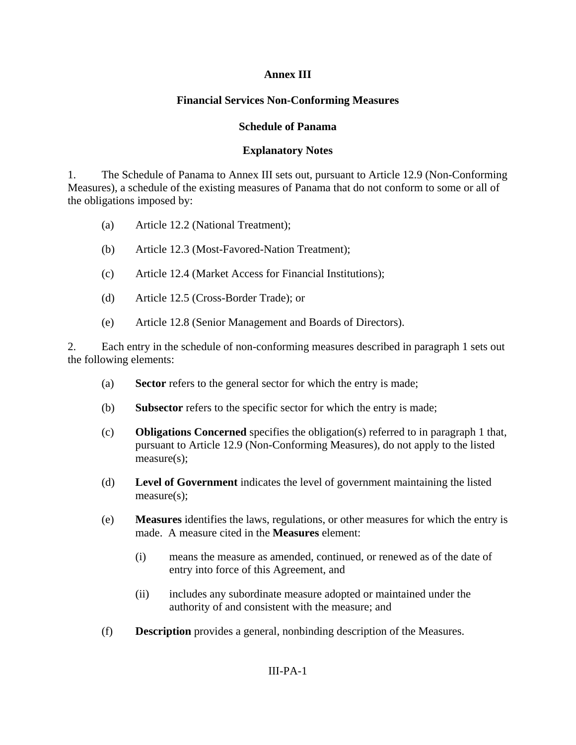### **Annex III**

## **Financial Services Non-Conforming Measures**

#### **Schedule of Panama**

#### **Explanatory Notes**

1. The Schedule of Panama to Annex III sets out, pursuant to Article 12.9 (Non-Conforming Measures), a schedule of the existing measures of Panama that do not conform to some or all of the obligations imposed by:

- (a) Article 12.2 (National Treatment);
- (b) Article 12.3 (Most-Favored-Nation Treatment);
- (c) Article 12.4 (Market Access for Financial Institutions);
- (d) Article 12.5 (Cross-Border Trade); or
- (e) Article 12.8 (Senior Management and Boards of Directors).

2. Each entry in the schedule of non-conforming measures described in paragraph 1 sets out the following elements:

- (a) **Sector** refers to the general sector for which the entry is made;
- (b) **Subsector** refers to the specific sector for which the entry is made;
- (c) **Obligations Concerned** specifies the obligation(s) referred to in paragraph 1 that, pursuant to Article 12.9 (Non-Conforming Measures), do not apply to the listed measure(s);
- (d) **Level of Government** indicates the level of government maintaining the listed measure(s);
- (e) **Measures** identifies the laws, regulations, or other measures for which the entry is made. A measure cited in the **Measures** element:
	- (i) means the measure as amended, continued, or renewed as of the date of entry into force of this Agreement, and
	- (ii) includes any subordinate measure adopted or maintained under the authority of and consistent with the measure; and
- (f) **Description** provides a general, nonbinding description of the Measures.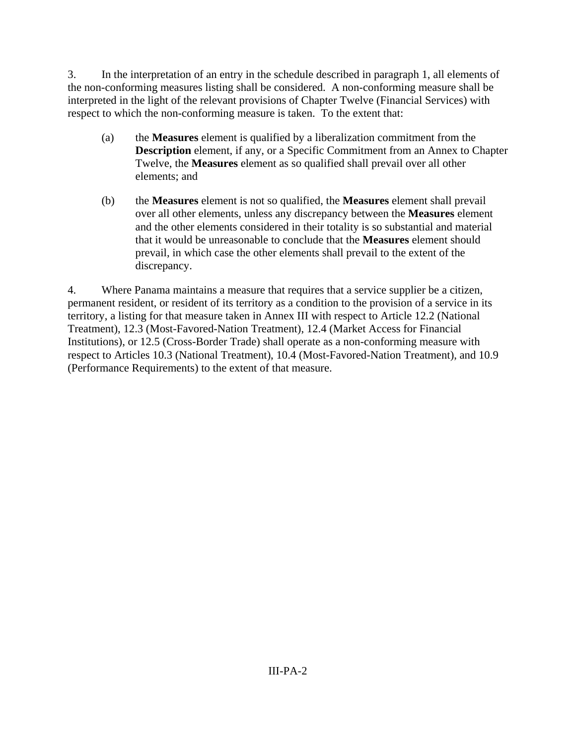3. In the interpretation of an entry in the schedule described in paragraph 1, all elements of the non-conforming measures listing shall be considered. A non-conforming measure shall be interpreted in the light of the relevant provisions of Chapter Twelve (Financial Services) with respect to which the non-conforming measure is taken. To the extent that:

- (a) the **Measures** element is qualified by a liberalization commitment from the **Description** element, if any, or a Specific Commitment from an Annex to Chapter Twelve, the **Measures** element as so qualified shall prevail over all other elements; and
- (b) the **Measures** element is not so qualified, the **Measures** element shall prevail over all other elements, unless any discrepancy between the **Measures** element and the other elements considered in their totality is so substantial and material that it would be unreasonable to conclude that the **Measures** element should prevail, in which case the other elements shall prevail to the extent of the discrepancy.

4. Where Panama maintains a measure that requires that a service supplier be a citizen, permanent resident, or resident of its territory as a condition to the provision of a service in its territory, a listing for that measure taken in Annex III with respect to Article 12.2 (National Treatment), 12.3 (Most-Favored-Nation Treatment), 12.4 (Market Access for Financial Institutions), or 12.5 (Cross-Border Trade) shall operate as a non-conforming measure with respect to Articles 10.3 (National Treatment), 10.4 (Most-Favored-Nation Treatment), and 10.9 (Performance Requirements) to the extent of that measure.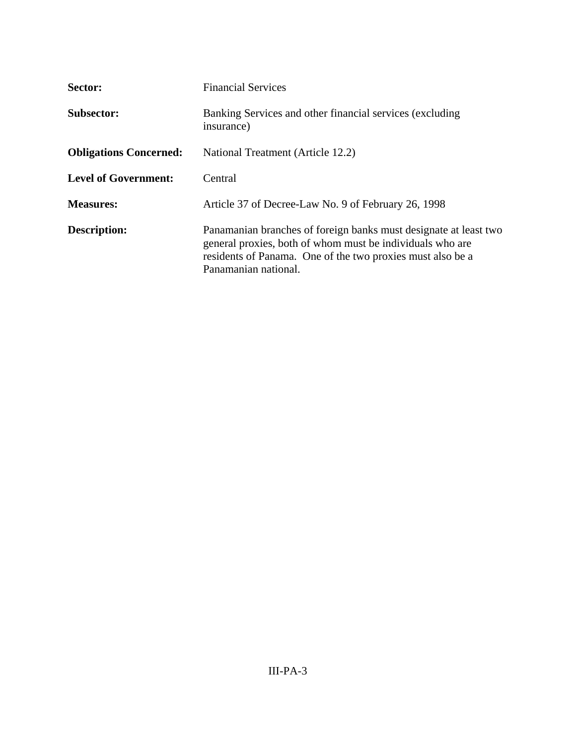| Sector:                       | <b>Financial Services</b>                                                                                                                                                                                           |
|-------------------------------|---------------------------------------------------------------------------------------------------------------------------------------------------------------------------------------------------------------------|
| <b>Subsector:</b>             | Banking Services and other financial services (excluding<br>insurance)                                                                                                                                              |
| <b>Obligations Concerned:</b> | National Treatment (Article 12.2)                                                                                                                                                                                   |
| <b>Level of Government:</b>   | Central                                                                                                                                                                                                             |
| <b>Measures:</b>              | Article 37 of Decree-Law No. 9 of February 26, 1998                                                                                                                                                                 |
| <b>Description:</b>           | Panamanian branches of foreign banks must designate at least two<br>general proxies, both of whom must be individuals who are<br>residents of Panama. One of the two proxies must also be a<br>Panamanian national. |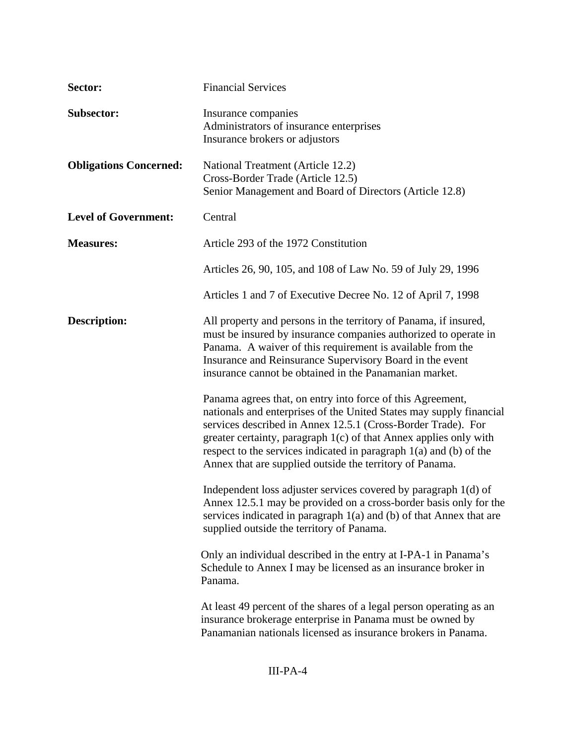| Sector:                       | <b>Financial Services</b>                                                                                                                                                                                                                                                                                                                                                                                    |
|-------------------------------|--------------------------------------------------------------------------------------------------------------------------------------------------------------------------------------------------------------------------------------------------------------------------------------------------------------------------------------------------------------------------------------------------------------|
| <b>Subsector:</b>             | Insurance companies<br>Administrators of insurance enterprises<br>Insurance brokers or adjustors                                                                                                                                                                                                                                                                                                             |
| <b>Obligations Concerned:</b> | National Treatment (Article 12.2)<br>Cross-Border Trade (Article 12.5)<br>Senior Management and Board of Directors (Article 12.8)                                                                                                                                                                                                                                                                            |
| <b>Level of Government:</b>   | Central                                                                                                                                                                                                                                                                                                                                                                                                      |
| <b>Measures:</b>              | Article 293 of the 1972 Constitution                                                                                                                                                                                                                                                                                                                                                                         |
|                               | Articles 26, 90, 105, and 108 of Law No. 59 of July 29, 1996                                                                                                                                                                                                                                                                                                                                                 |
|                               | Articles 1 and 7 of Executive Decree No. 12 of April 7, 1998                                                                                                                                                                                                                                                                                                                                                 |
| <b>Description:</b>           | All property and persons in the territory of Panama, if insured,<br>must be insured by insurance companies authorized to operate in<br>Panama. A waiver of this requirement is available from the<br>Insurance and Reinsurance Supervisory Board in the event<br>insurance cannot be obtained in the Panamanian market.                                                                                      |
|                               | Panama agrees that, on entry into force of this Agreement,<br>nationals and enterprises of the United States may supply financial<br>services described in Annex 12.5.1 (Cross-Border Trade). For<br>greater certainty, paragraph $1(c)$ of that Annex applies only with<br>respect to the services indicated in paragraph $1(a)$ and (b) of the<br>Annex that are supplied outside the territory of Panama. |
|                               | Independent loss adjuster services covered by paragraph 1(d) of<br>Annex 12.5.1 may be provided on a cross-border basis only for the<br>services indicated in paragraph $1(a)$ and (b) of that Annex that are<br>supplied outside the territory of Panama.                                                                                                                                                   |
|                               | Only an individual described in the entry at I-PA-1 in Panama's<br>Schedule to Annex I may be licensed as an insurance broker in<br>Panama.                                                                                                                                                                                                                                                                  |
|                               | At least 49 percent of the shares of a legal person operating as an<br>insurance brokerage enterprise in Panama must be owned by<br>Panamanian nationals licensed as insurance brokers in Panama.                                                                                                                                                                                                            |

# III-PA-4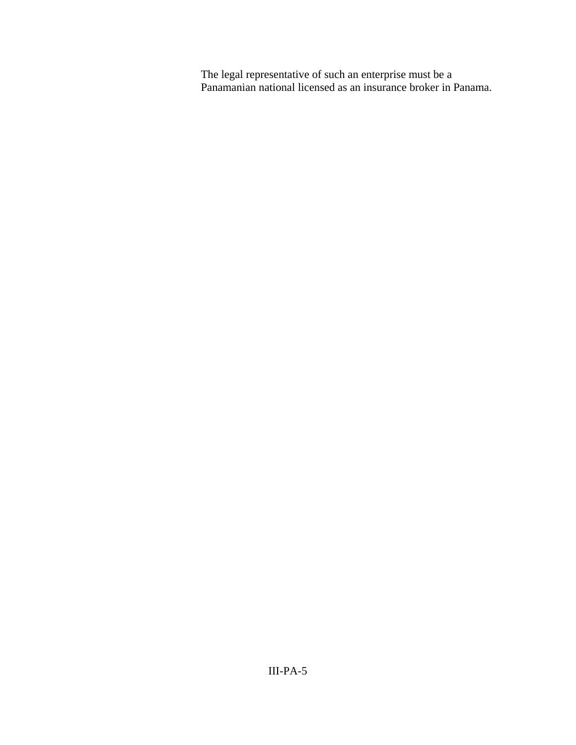The legal representative of such an enterprise must be a Panamanian national licensed as an insurance broker in Panama.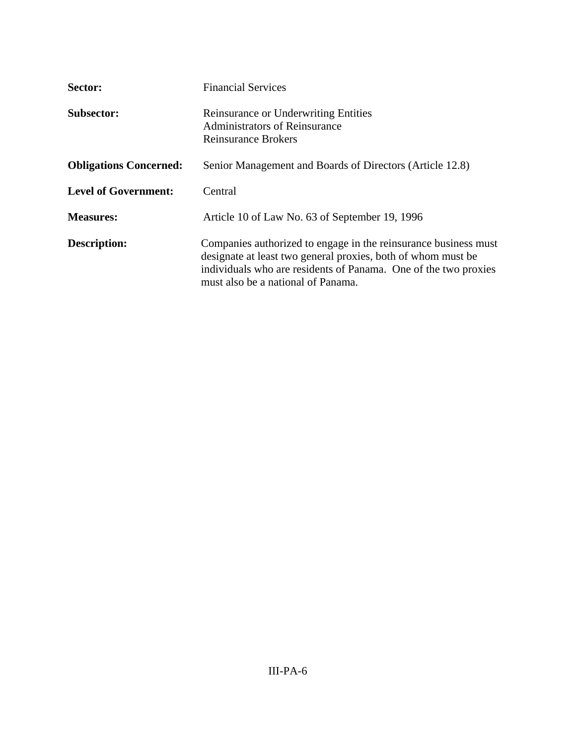| Sector:                       | <b>Financial Services</b>                                                                                                                                                                                                                |
|-------------------------------|------------------------------------------------------------------------------------------------------------------------------------------------------------------------------------------------------------------------------------------|
| <b>Subsector:</b>             | <b>Reinsurance or Underwriting Entities</b><br><b>Administrators of Reinsurance</b><br><b>Reinsurance Brokers</b>                                                                                                                        |
| <b>Obligations Concerned:</b> | Senior Management and Boards of Directors (Article 12.8)                                                                                                                                                                                 |
| <b>Level of Government:</b>   | Central                                                                                                                                                                                                                                  |
| <b>Measures:</b>              | Article 10 of Law No. 63 of September 19, 1996                                                                                                                                                                                           |
| <b>Description:</b>           | Companies authorized to engage in the reinsurance business must<br>designate at least two general proxies, both of whom must be<br>individuals who are residents of Panama. One of the two proxies<br>must also be a national of Panama. |